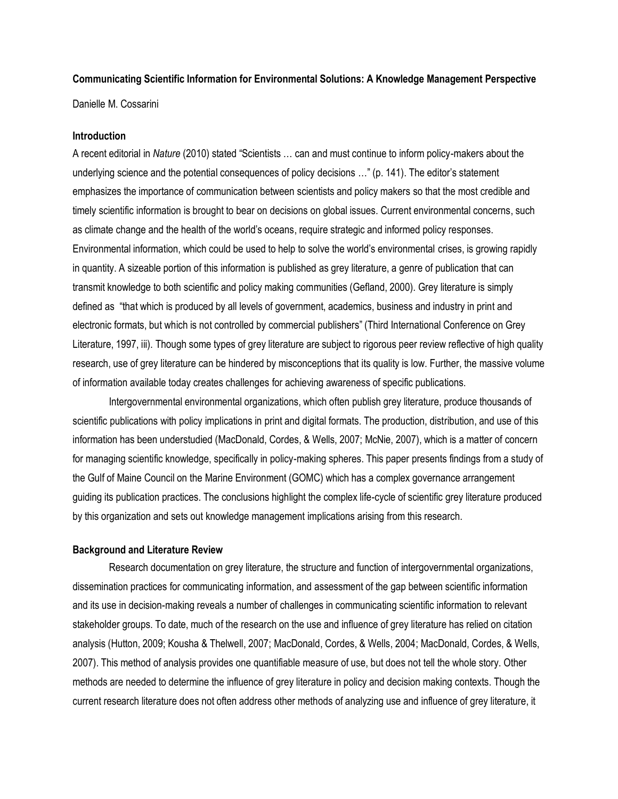# **Communicating Scientific Information for Environmental Solutions: A Knowledge Management Perspective**

Danielle M. Cossarini

### **Introduction**

A recent editorial in *Nature* (2010) stated "Scientists … can and must continue to inform policy-makers about the underlying science and the potential consequences of policy decisions …" (p. 141). The editor's statement emphasizes the importance of communication between scientists and policy makers so that the most credible and timely scientific information is brought to bear on decisions on global issues. Current environmental concerns, such as climate change and the health of the world's oceans, require strategic and informed policy responses. Environmental information, which could be used to help to solve the world's environmental crises, is growing rapidly in quantity. A sizeable portion of this information is published as grey literature, a genre of publication that can transmit knowledge to both scientific and policy making communities (Gefland, 2000). Grey literature is simply defined as "that which is produced by all levels of government, academics, business and industry in print and electronic formats, but which is not controlled by commercial publishers" (Third International Conference on Grey Literature, 1997, iii). Though some types of grey literature are subject to rigorous peer review reflective of high quality research, use of grey literature can be hindered by misconceptions that its quality is low. Further, the massive volume of information available today creates challenges for achieving awareness of specific publications.

Intergovernmental environmental organizations, which often publish grey literature, produce thousands of scientific publications with policy implications in print and digital formats. The production, distribution, and use of this information has been understudied (MacDonald, Cordes, & Wells, 2007; McNie, 2007), which is a matter of concern for managing scientific knowledge, specifically in policy-making spheres. This paper presents findings from a study of the Gulf of Maine Council on the Marine Environment (GOMC) which has a complex governance arrangement guiding its publication practices. The conclusions highlight the complex life-cycle of scientific grey literature produced by this organization and sets out knowledge management implications arising from this research.

## **Background and Literature Review**

Research documentation on grey literature, the structure and function of intergovernmental organizations, dissemination practices for communicating information, and assessment of the gap between scientific information and its use in decision-making reveals a number of challenges in communicating scientific information to relevant stakeholder groups. To date, much of the research on the use and influence of grey literature has relied on citation analysis (Hutton, 2009; Kousha & Thelwell, 2007; MacDonald, Cordes, & Wells, 2004; MacDonald, Cordes, & Wells, 2007). This method of analysis provides one quantifiable measure of use, but does not tell the whole story. Other methods are needed to determine the influence of grey literature in policy and decision making contexts. Though the current research literature does not often address other methods of analyzing use and influence of grey literature, it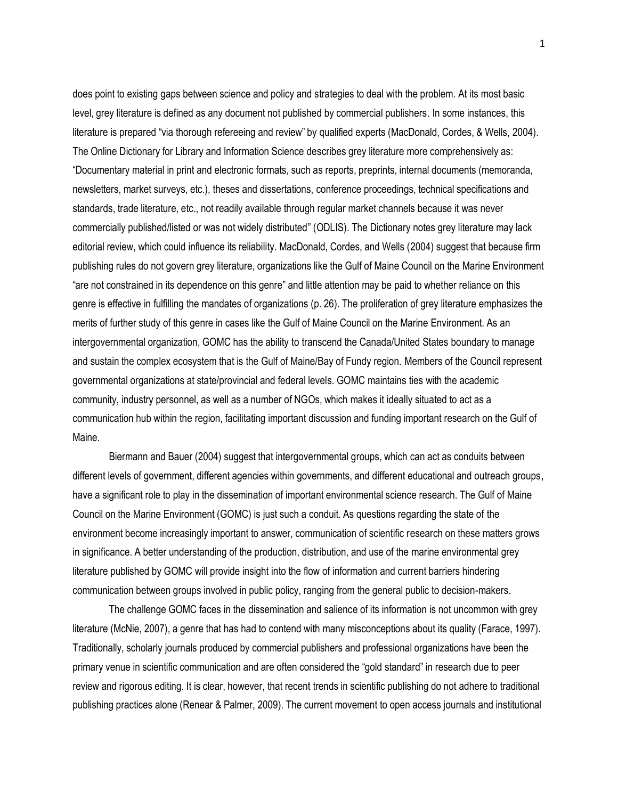does point to existing gaps between science and policy and strategies to deal with the problem. At its most basic level, grey literature is defined as any document not published by commercial publishers. In some instances, this literature is prepared "via thorough refereeing and review" by qualified experts (MacDonald, Cordes, & Wells, 2004). The Online Dictionary for Library and Information Science describes grey literature more comprehensively as: "Documentary material in print and electronic formats, such as reports, preprints, internal documents (memoranda, newsletters, market surveys, etc.), theses and dissertations, conference proceedings, technical specifications and standards, trade literature, etc., not readily available through regular market channels because it was never commercially published/listed or was not widely distributed" (ODLIS). The Dictionary notes grey literature may lack editorial review, which could influence its reliability. MacDonald, Cordes, and Wells (2004) suggest that because firm publishing rules do not govern grey literature, organizations like the Gulf of Maine Council on the Marine Environment "are not constrained in its dependence on this genre" and little attention may be paid to whether reliance on this genre is effective in fulfilling the mandates of organizations (p. 26). The proliferation of grey literature emphasizes the merits of further study of this genre in cases like the Gulf of Maine Council on the Marine Environment. As an intergovernmental organization, GOMC has the ability to transcend the Canada/United States boundary to manage and sustain the complex ecosystem that is the Gulf of Maine/Bay of Fundy region. Members of the Council represent governmental organizations at state/provincial and federal levels. GOMC maintains ties with the academic community, industry personnel, as well as a number of NGOs, which makes it ideally situated to act as a communication hub within the region, facilitating important discussion and funding important research on the Gulf of Maine.

Biermann and Bauer (2004) suggest that intergovernmental groups, which can act as conduits between different levels of government, different agencies within governments, and different educational and outreach groups, have a significant role to play in the dissemination of important environmental science research. The Gulf of Maine Council on the Marine Environment (GOMC) is just such a conduit. As questions regarding the state of the environment become increasingly important to answer, communication of scientific research on these matters grows in significance. A better understanding of the production, distribution, and use of the marine environmental grey literature published by GOMC will provide insight into the flow of information and current barriers hindering communication between groups involved in public policy, ranging from the general public to decision-makers.

The challenge GOMC faces in the dissemination and salience of its information is not uncommon with grey literature (McNie, 2007), a genre that has had to contend with many misconceptions about its quality (Farace, 1997). Traditionally, scholarly journals produced by commercial publishers and professional organizations have been the primary venue in scientific communication and are often considered the "gold standard" in research due to peer review and rigorous editing. It is clear, however, that recent trends in scientific publishing do not adhere to traditional publishing practices alone (Renear & Palmer, 2009). The current movement to open access journals and institutional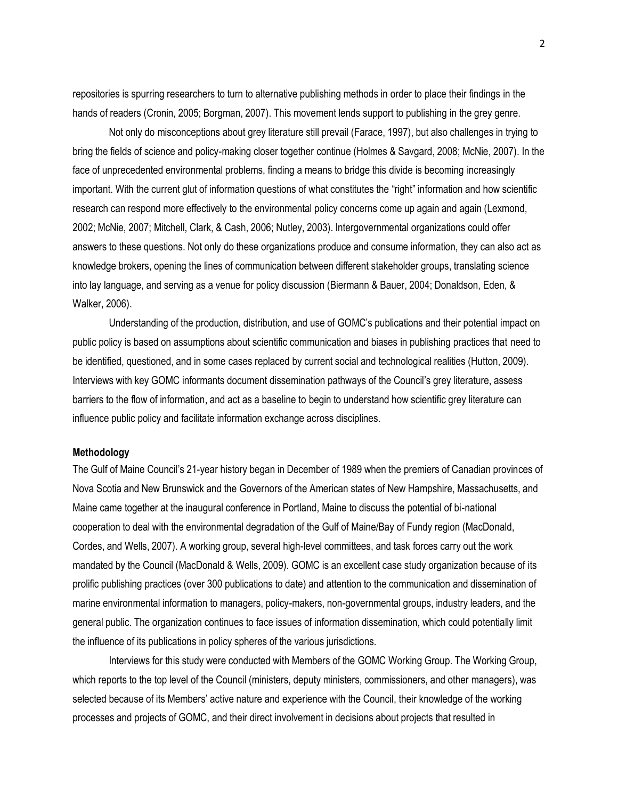repositories is spurring researchers to turn to alternative publishing methods in order to place their findings in the hands of readers (Cronin, 2005; Borgman, 2007). This movement lends support to publishing in the grey genre.

Not only do misconceptions about grey literature still prevail (Farace, 1997), but also challenges in trying to bring the fields of science and policy-making closer together continue (Holmes & Savgard, 2008; McNie, 2007). In the face of unprecedented environmental problems, finding a means to bridge this divide is becoming increasingly important. With the current glut of information questions of what constitutes the "right" information and how scientific research can respond more effectively to the environmental policy concerns come up again and again (Lexmond, 2002; McNie, 2007; Mitchell, Clark, & Cash, 2006; Nutley, 2003). Intergovernmental organizations could offer answers to these questions. Not only do these organizations produce and consume information, they can also act as knowledge brokers, opening the lines of communication between different stakeholder groups, translating science into lay language, and serving as a venue for policy discussion (Biermann & Bauer, 2004; Donaldson, Eden, & Walker, 2006).

Understanding of the production, distribution, and use of GOMC's publications and their potential impact on public policy is based on assumptions about scientific communication and biases in publishing practices that need to be identified, questioned, and in some cases replaced by current social and technological realities (Hutton, 2009). Interviews with key GOMC informants document dissemination pathways of the Council's grey literature, assess barriers to the flow of information, and act as a baseline to begin to understand how scientific grey literature can influence public policy and facilitate information exchange across disciplines.

## **Methodology**

The Gulf of Maine Council's 21-year history began in December of 1989 when the premiers of Canadian provinces of Nova Scotia and New Brunswick and the Governors of the American states of New Hampshire, Massachusetts, and Maine came together at the inaugural conference in Portland, Maine to discuss the potential of bi-national cooperation to deal with the environmental degradation of the Gulf of Maine/Bay of Fundy region (MacDonald, Cordes, and Wells, 2007). A working group, several high-level committees, and task forces carry out the work mandated by the Council (MacDonald & Wells, 2009). GOMC is an excellent case study organization because of its prolific publishing practices (over 300 publications to date) and attention to the communication and dissemination of marine environmental information to managers, policy-makers, non-governmental groups, industry leaders, and the general public. The organization continues to face issues of information dissemination, which could potentially limit the influence of its publications in policy spheres of the various jurisdictions.

Interviews for this study were conducted with Members of the GOMC Working Group. The Working Group, which reports to the top level of the Council (ministers, deputy ministers, commissioners, and other managers), was selected because of its Members' active nature and experience with the Council, their knowledge of the working processes and projects of GOMC, and their direct involvement in decisions about projects that resulted in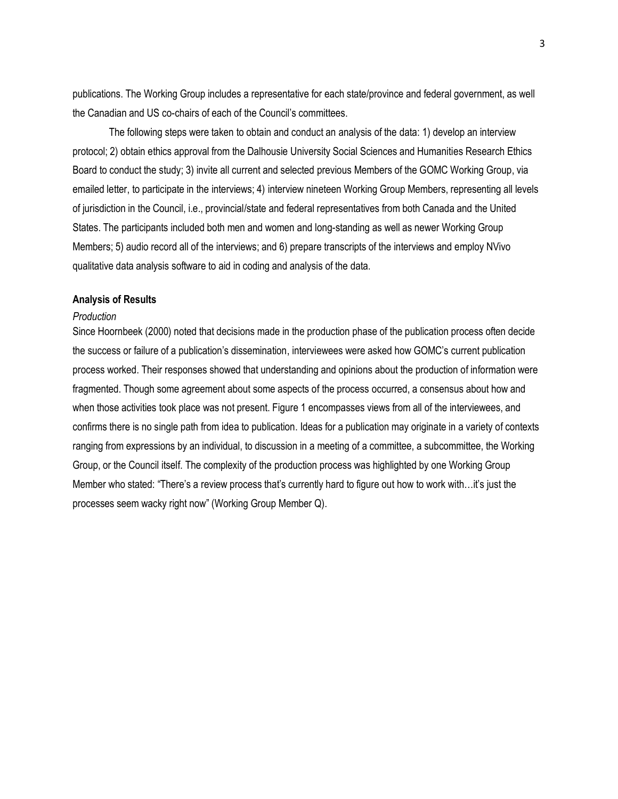publications. The Working Group includes a representative for each state/province and federal government, as well the Canadian and US co-chairs of each of the Council's committees.

The following steps were taken to obtain and conduct an analysis of the data: 1) develop an interview protocol; 2) obtain ethics approval from the Dalhousie University Social Sciences and Humanities Research Ethics Board to conduct the study; 3) invite all current and selected previous Members of the GOMC Working Group, via emailed letter, to participate in the interviews; 4) interview nineteen Working Group Members, representing all levels of jurisdiction in the Council, i.e., provincial/state and federal representatives from both Canada and the United States. The participants included both men and women and long-standing as well as newer Working Group Members; 5) audio record all of the interviews; and 6) prepare transcripts of the interviews and employ NVivo qualitative data analysis software to aid in coding and analysis of the data.

# **Analysis of Results**

### *Production*

Since Hoornbeek (2000) noted that decisions made in the production phase of the publication process often decide the success or failure of a publication's dissemination, interviewees were asked how GOMC's current publication process worked. Their responses showed that understanding and opinions about the production of information were fragmented. Though some agreement about some aspects of the process occurred, a consensus about how and when those activities took place was not present. Figure 1 encompasses views from all of the interviewees, and confirms there is no single path from idea to publication. Ideas for a publication may originate in a variety of contexts ranging from expressions by an individual, to discussion in a meeting of a committee, a subcommittee, the Working Group, or the Council itself. The complexity of the production process was highlighted by one Working Group Member who stated: "There's a review process that's currently hard to figure out how to work with…it's just the processes seem wacky right now" (Working Group Member Q).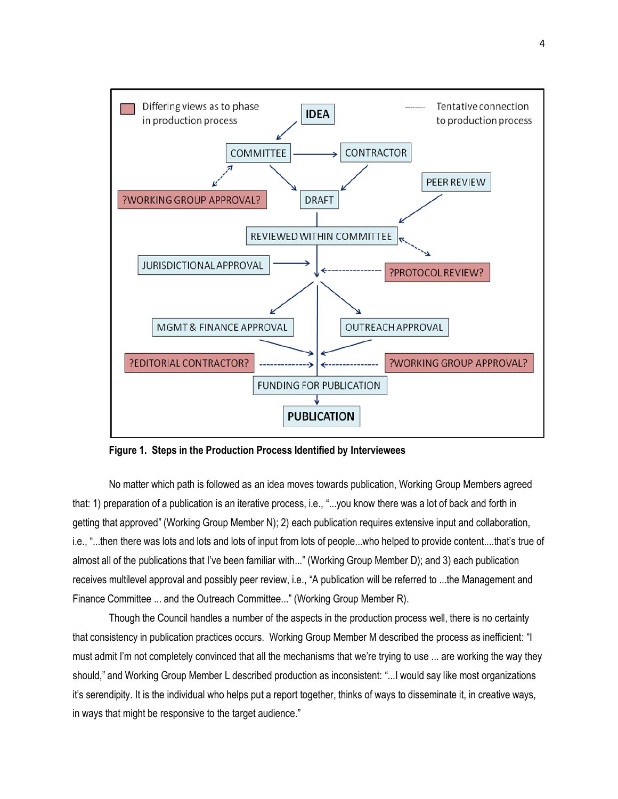

**Figure 1. Steps in the Production Process Identified by Interviewees**

No matter which path is followed as an idea moves towards publication, Working Group Members agreed that: 1) preparation of a publication is an iterative process, i.e., "...you know there was a lot of back and forth in getting that approved" (Working Group Member N); 2) each publication requires extensive input and collaboration, i.e., "...then there was lots and lots and lots of input from lots of people...who helped to provide content....that's true of almost all of the publications that I've been familiar with..." (Working Group Member D); and 3) each publication receives multilevel approval and possibly peer review, i.e., "A publication will be referred to ...the Management and Finance Committee ... and the Outreach Committee..." (Working Group Member R).

Though the Council handles a number of the aspects in the production process well, there is no certainty that consistency in publication practices occurs. Working Group Member M described the process as inefficient: "I must admit I'm not completely convinced that all the mechanisms that we're trying to use ... are working the way they should," and Working Group Member L described production as inconsistent: "...I would say like most organizations it's serendipity. It is the individual who helps put a report together, thinks of ways to disseminate it, in creative ways, in ways that might be responsive to the target audience."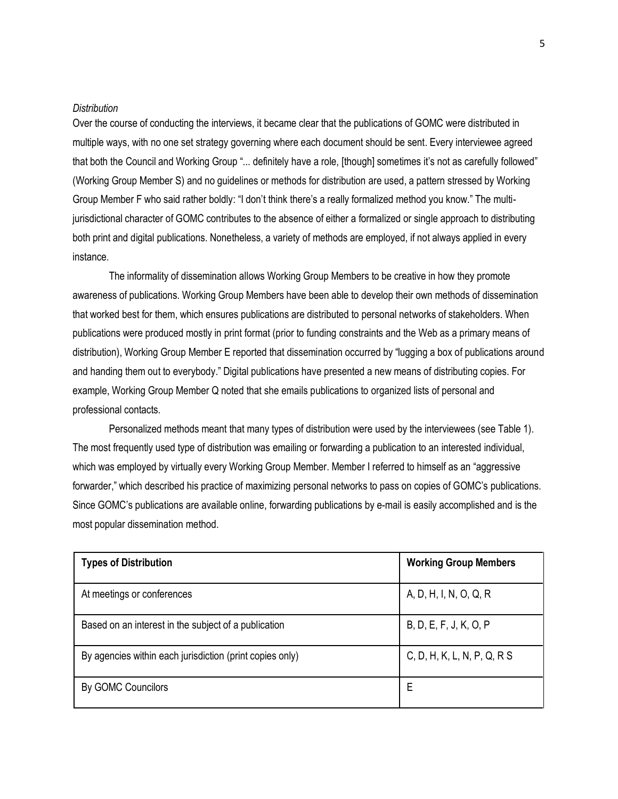## *Distribution*

Over the course of conducting the interviews, it became clear that the publications of GOMC were distributed in multiple ways, with no one set strategy governing where each document should be sent. Every interviewee agreed that both the Council and Working Group "... definitely have a role, [though] sometimes it's not as carefully followed" (Working Group Member S) and no guidelines or methods for distribution are used, a pattern stressed by Working Group Member F who said rather boldly: "I don't think there's a really formalized method you know." The multijurisdictional character of GOMC contributes to the absence of either a formalized or single approach to distributing both print and digital publications. Nonetheless, a variety of methods are employed, if not always applied in every instance.

The informality of dissemination allows Working Group Members to be creative in how they promote awareness of publications. Working Group Members have been able to develop their own methods of dissemination that worked best for them, which ensures publications are distributed to personal networks of stakeholders. When publications were produced mostly in print format (prior to funding constraints and the Web as a primary means of distribution), Working Group Member E reported that dissemination occurred by "lugging a box of publications around and handing them out to everybody." Digital publications have presented a new means of distributing copies. For example, Working Group Member Q noted that she emails publications to organized lists of personal and professional contacts.

Personalized methods meant that many types of distribution were used by the interviewees (see Table 1). The most frequently used type of distribution was emailing or forwarding a publication to an interested individual, which was employed by virtually every Working Group Member. Member I referred to himself as an "aggressive forwarder," which described his practice of maximizing personal networks to pass on copies of GOMC's publications. Since GOMC's publications are available online, forwarding publications by e-mail is easily accomplished and is the most popular dissemination method.

| <b>Types of Distribution</b>                             | <b>Working Group Members</b> |
|----------------------------------------------------------|------------------------------|
| At meetings or conferences                               | A, D, H, I, N, O, Q, R       |
| Based on an interest in the subject of a publication     | B, D, E, F, J, K, O, P       |
| By agencies within each jurisdiction (print copies only) | C, D, H, K, L, N, P, Q, R S  |
| By GOMC Councilors                                       | E                            |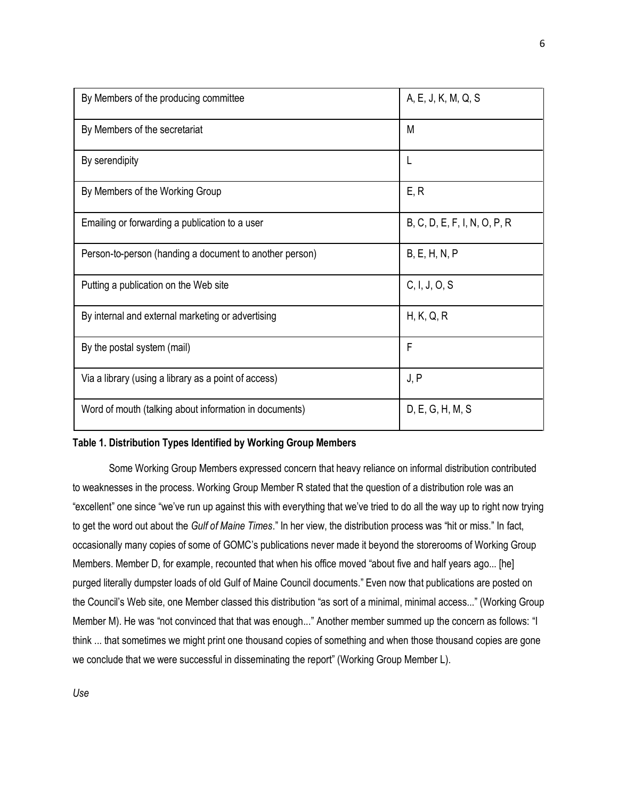| By Members of the producing committee                   | A, E, J, K, M, Q, S          |
|---------------------------------------------------------|------------------------------|
| By Members of the secretariat                           | M                            |
| By serendipity                                          | L                            |
| By Members of the Working Group                         | E, R                         |
| Emailing or forwarding a publication to a user          | B, C, D, E, F, I, N, O, P, R |
| Person-to-person (handing a document to another person) | B, E, H, N, P                |
| Putting a publication on the Web site                   | C, I, J, O, S                |
| By internal and external marketing or advertising       | H, K, Q, R                   |
| By the postal system (mail)                             | F                            |
| Via a library (using a library as a point of access)    | J, P                         |
| Word of mouth (talking about information in documents)  | D, E, G, H, M, S             |

# **Table 1. Distribution Types Identified by Working Group Members**

Some Working Group Members expressed concern that heavy reliance on informal distribution contributed to weaknesses in the process. Working Group Member R stated that the question of a distribution role was an "excellent" one since "we've run up against this with everything that we've tried to do all the way up to right now trying to get the word out about the *Gulf of Maine Times*." In her view, the distribution process was "hit or miss." In fact, occasionally many copies of some of GOMC's publications never made it beyond the storerooms of Working Group Members. Member D, for example, recounted that when his office moved "about five and half years ago... [he] purged literally dumpster loads of old Gulf of Maine Council documents." Even now that publications are posted on the Council's Web site, one Member classed this distribution "as sort of a minimal, minimal access..." (Working Group Member M). He was "not convinced that that was enough..." Another member summed up the concern as follows: "I think ... that sometimes we might print one thousand copies of something and when those thousand copies are gone we conclude that we were successful in disseminating the report" (Working Group Member L).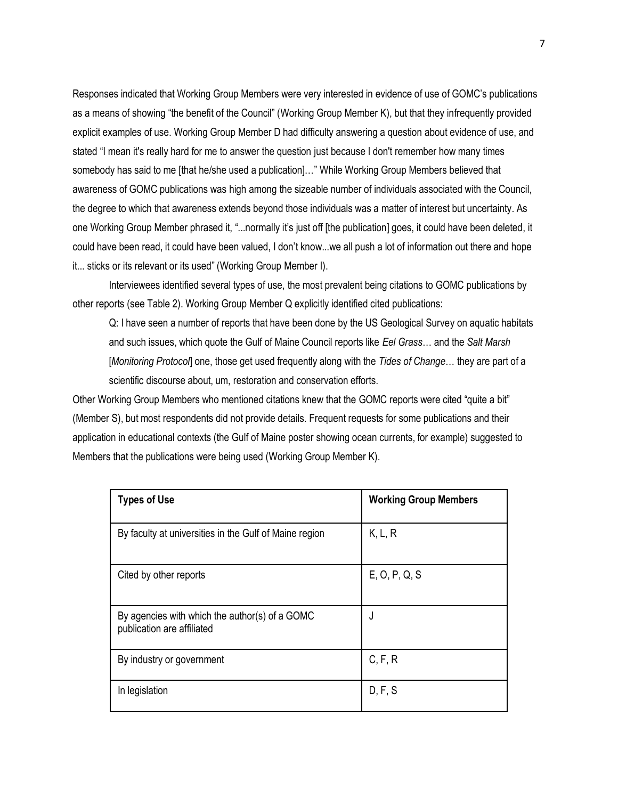Responses indicated that Working Group Members were very interested in evidence of use of GOMC's publications as a means of showing "the benefit of the Council" (Working Group Member K), but that they infrequently provided explicit examples of use. Working Group Member D had difficulty answering a question about evidence of use, and stated "I mean it's really hard for me to answer the question just because I don't remember how many times somebody has said to me [that he/she used a publication]…" While Working Group Members believed that awareness of GOMC publications was high among the sizeable number of individuals associated with the Council, the degree to which that awareness extends beyond those individuals was a matter of interest but uncertainty. As one Working Group Member phrased it, "...normally it's just off [the publication] goes, it could have been deleted, it could have been read, it could have been valued, I don't know...we all push a lot of information out there and hope it... sticks or its relevant or its used" (Working Group Member I).

Interviewees identified several types of use, the most prevalent being citations to GOMC publications by other reports (see Table 2). Working Group Member Q explicitly identified cited publications:

Q: I have seen a number of reports that have been done by the US Geological Survey on aquatic habitats and such issues, which quote the Gulf of Maine Council reports like *Eel Grass*… and the *Salt Marsh* [*Monitoring Protocol*] one, those get used frequently along with the *Tides of Change*… they are part of a scientific discourse about, um, restoration and conservation efforts.

Other Working Group Members who mentioned citations knew that the GOMC reports were cited "quite a bit" (Member S), but most respondents did not provide details. Frequent requests for some publications and their application in educational contexts (the Gulf of Maine poster showing ocean currents, for example) suggested to Members that the publications were being used (Working Group Member K).

| <b>Types of Use</b>                                                          | <b>Working Group Members</b> |
|------------------------------------------------------------------------------|------------------------------|
| By faculty at universities in the Gulf of Maine region                       | K, L, R                      |
| Cited by other reports                                                       | E, O, P, Q, S                |
| By agencies with which the author(s) of a GOMC<br>publication are affiliated | J                            |
| By industry or government                                                    | C, F, R                      |
| In legislation                                                               | D, F, S                      |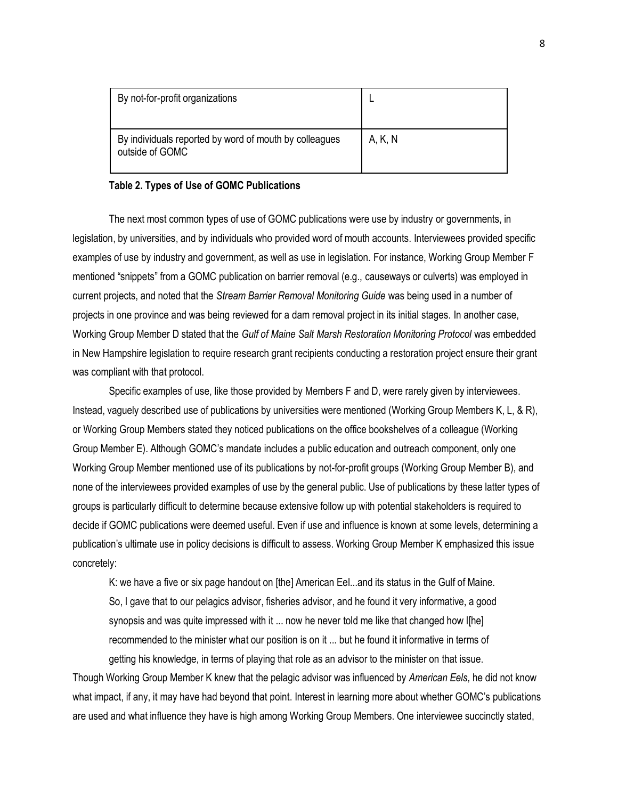| By not-for-profit organizations                                           |         |
|---------------------------------------------------------------------------|---------|
| By individuals reported by word of mouth by colleagues<br>outside of GOMC | A, K, N |

# **Table 2. Types of Use of GOMC Publications**

The next most common types of use of GOMC publications were use by industry or governments, in legislation, by universities, and by individuals who provided word of mouth accounts. Interviewees provided specific examples of use by industry and government, as well as use in legislation. For instance, Working Group Member F mentioned "snippets" from a GOMC publication on barrier removal (e.g., causeways or culverts) was employed in current projects, and noted that the *Stream Barrier Removal Monitoring Guide* was being used in a number of projects in one province and was being reviewed for a dam removal project in its initial stages. In another case, Working Group Member D stated that the *Gulf of Maine Salt Marsh Restoration Monitoring Protocol* was embedded in New Hampshire legislation to require research grant recipients conducting a restoration project ensure their grant was compliant with that protocol.

Specific examples of use, like those provided by Members F and D, were rarely given by interviewees. Instead, vaguely described use of publications by universities were mentioned (Working Group Members K, L, & R), or Working Group Members stated they noticed publications on the office bookshelves of a colleague (Working Group Member E). Although GOMC's mandate includes a public education and outreach component, only one Working Group Member mentioned use of its publications by not-for-profit groups (Working Group Member B), and none of the interviewees provided examples of use by the general public. Use of publications by these latter types of groups is particularly difficult to determine because extensive follow up with potential stakeholders is required to decide if GOMC publications were deemed useful. Even if use and influence is known at some levels, determining a publication's ultimate use in policy decisions is difficult to assess. Working Group Member K emphasized this issue concretely:

K: we have a five or six page handout on [the] American Eel...and its status in the Gulf of Maine. So, I gave that to our pelagics advisor, fisheries advisor, and he found it very informative, a good synopsis and was quite impressed with it ... now he never told me like that changed how I[he] recommended to the minister what our position is on it ... but he found it informative in terms of getting his knowledge, in terms of playing that role as an advisor to the minister on that issue.

Though Working Group Member K knew that the pelagic advisor was influenced by *American Eels,* he did not know what impact, if any, it may have had beyond that point. Interest in learning more about whether GOMC's publications are used and what influence they have is high among Working Group Members. One interviewee succinctly stated,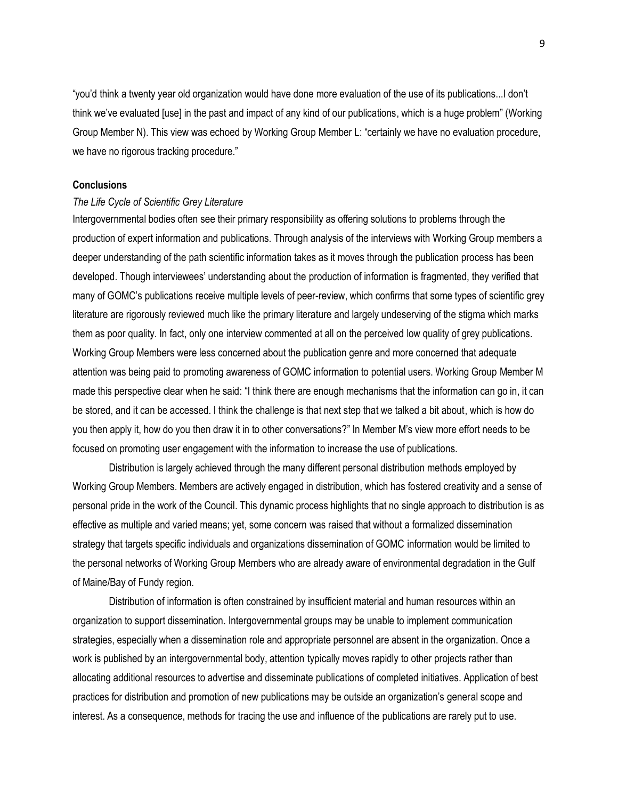"you'd think a twenty year old organization would have done more evaluation of the use of its publications...I don't think we've evaluated [use] in the past and impact of any kind of our publications, which is a huge problem" (Working Group Member N). This view was echoed by Working Group Member L: "certainly we have no evaluation procedure, we have no rigorous tracking procedure."

# **Conclusions**

### *The Life Cycle of Scientific Grey Literature*

Intergovernmental bodies often see their primary responsibility as offering solutions to problems through the production of expert information and publications. Through analysis of the interviews with Working Group members a deeper understanding of the path scientific information takes as it moves through the publication process has been developed. Though interviewees' understanding about the production of information is fragmented, they verified that many of GOMC's publications receive multiple levels of peer-review, which confirms that some types of scientific grey literature are rigorously reviewed much like the primary literature and largely undeserving of the stigma which marks them as poor quality. In fact, only one interview commented at all on the perceived low quality of grey publications. Working Group Members were less concerned about the publication genre and more concerned that adequate attention was being paid to promoting awareness of GOMC information to potential users. Working Group Member M made this perspective clear when he said: "I think there are enough mechanisms that the information can go in, it can be stored, and it can be accessed. I think the challenge is that next step that we talked a bit about, which is how do you then apply it, how do you then draw it in to other conversations?" In Member M's view more effort needs to be focused on promoting user engagement with the information to increase the use of publications.

Distribution is largely achieved through the many different personal distribution methods employed by Working Group Members. Members are actively engaged in distribution, which has fostered creativity and a sense of personal pride in the work of the Council. This dynamic process highlights that no single approach to distribution is as effective as multiple and varied means; yet, some concern was raised that without a formalized dissemination strategy that targets specific individuals and organizations dissemination of GOMC information would be limited to the personal networks of Working Group Members who are already aware of environmental degradation in the Gulf of Maine/Bay of Fundy region.

Distribution of information is often constrained by insufficient material and human resources within an organization to support dissemination. Intergovernmental groups may be unable to implement communication strategies, especially when a dissemination role and appropriate personnel are absent in the organization. Once a work is published by an intergovernmental body, attention typically moves rapidly to other projects rather than allocating additional resources to advertise and disseminate publications of completed initiatives. Application of best practices for distribution and promotion of new publications may be outside an organization's general scope and interest. As a consequence, methods for tracing the use and influence of the publications are rarely put to use.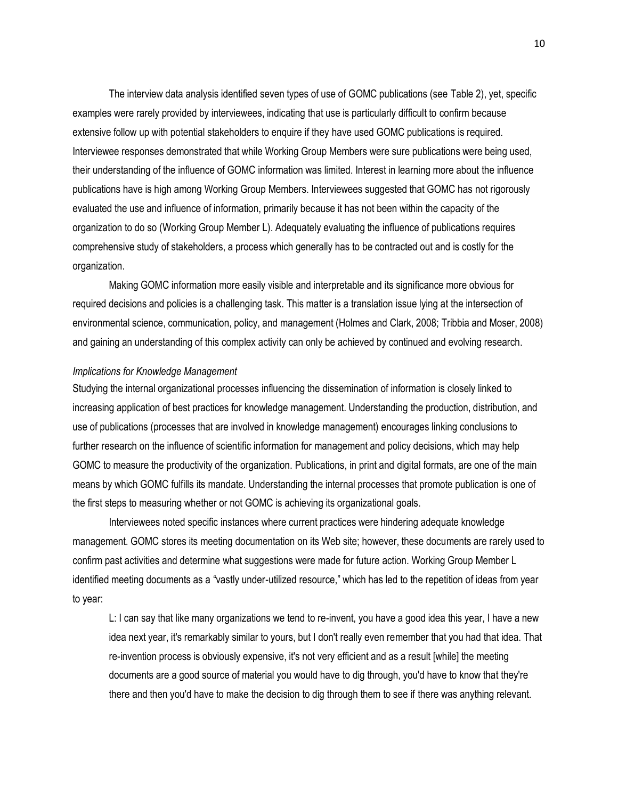The interview data analysis identified seven types of use of GOMC publications (see Table 2), yet, specific examples were rarely provided by interviewees, indicating that use is particularly difficult to confirm because extensive follow up with potential stakeholders to enquire if they have used GOMC publications is required. Interviewee responses demonstrated that while Working Group Members were sure publications were being used, their understanding of the influence of GOMC information was limited. Interest in learning more about the influence publications have is high among Working Group Members. Interviewees suggested that GOMC has not rigorously evaluated the use and influence of information, primarily because it has not been within the capacity of the organization to do so (Working Group Member L). Adequately evaluating the influence of publications requires comprehensive study of stakeholders, a process which generally has to be contracted out and is costly for the organization.

Making GOMC information more easily visible and interpretable and its significance more obvious for required decisions and policies is a challenging task. This matter is a translation issue lying at the intersection of environmental science, communication, policy, and management (Holmes and Clark, 2008; Tribbia and Moser, 2008) and gaining an understanding of this complex activity can only be achieved by continued and evolving research.

## *Implications for Knowledge Management*

Studying the internal organizational processes influencing the dissemination of information is closely linked to increasing application of best practices for knowledge management. Understanding the production, distribution, and use of publications (processes that are involved in knowledge management) encourages linking conclusions to further research on the influence of scientific information for management and policy decisions, which may help GOMC to measure the productivity of the organization. Publications, in print and digital formats, are one of the main means by which GOMC fulfills its mandate. Understanding the internal processes that promote publication is one of the first steps to measuring whether or not GOMC is achieving its organizational goals.

Interviewees noted specific instances where current practices were hindering adequate knowledge management. GOMC stores its meeting documentation on its Web site; however, these documents are rarely used to confirm past activities and determine what suggestions were made for future action. Working Group Member L identified meeting documents as a "vastly under-utilized resource," which has led to the repetition of ideas from year to year:

L: I can say that like many organizations we tend to re-invent, you have a good idea this year, I have a new idea next year, it's remarkably similar to yours, but I don't really even remember that you had that idea. That re-invention process is obviously expensive, it's not very efficient and as a result [while] the meeting documents are a good source of material you would have to dig through, you'd have to know that they're there and then you'd have to make the decision to dig through them to see if there was anything relevant.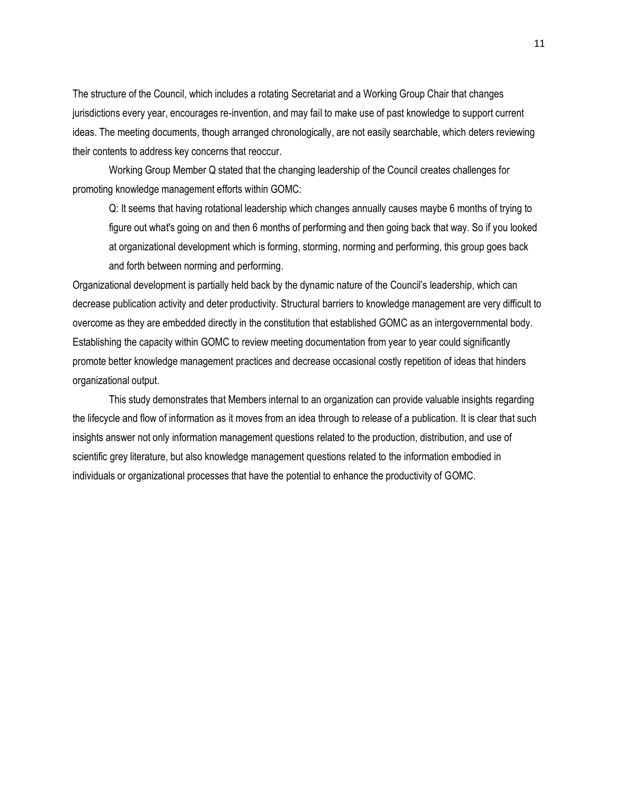The structure of the Council, which includes a rotating Secretariat and a Working Group Chair that changes jurisdictions every year, encourages re-invention, and may fail to make use of past knowledge to support current ideas. The meeting documents, though arranged chronologically, are not easily searchable, which deters reviewing their contents to address key concerns that reoccur.

Working Group Member Q stated that the changing leadership of the Council creates challenges for promoting knowledge management efforts within GOMC:

Q: It seems that having rotational leadership which changes annually causes maybe 6 months of trying to figure out what's going on and then 6 months of performing and then going back that way. So if you looked at organizational development which is forming, storming, norming and performing, this group goes back and forth between norming and performing.

Organizational development is partially held back by the dynamic nature of the Council's leadership, which can decrease publication activity and deter productivity. Structural barriers to knowledge management are very difficult to overcome as they are embedded directly in the constitution that established GOMC as an intergovernmental body. Establishing the capacity within GOMC to review meeting documentation from year to year could significantly promote better knowledge management practices and decrease occasional costly repetition of ideas that hinders organizational output.

This study demonstrates that Members internal to an organization can provide valuable insights regarding the lifecycle and flow of information as it moves from an idea through to release of a publication. It is clear that such insights answer not only information management questions related to the production, distribution, and use of scientific grey literature, but also knowledge management questions related to the information embodied in individuals or organizational processes that have the potential to enhance the productivity of GOMC.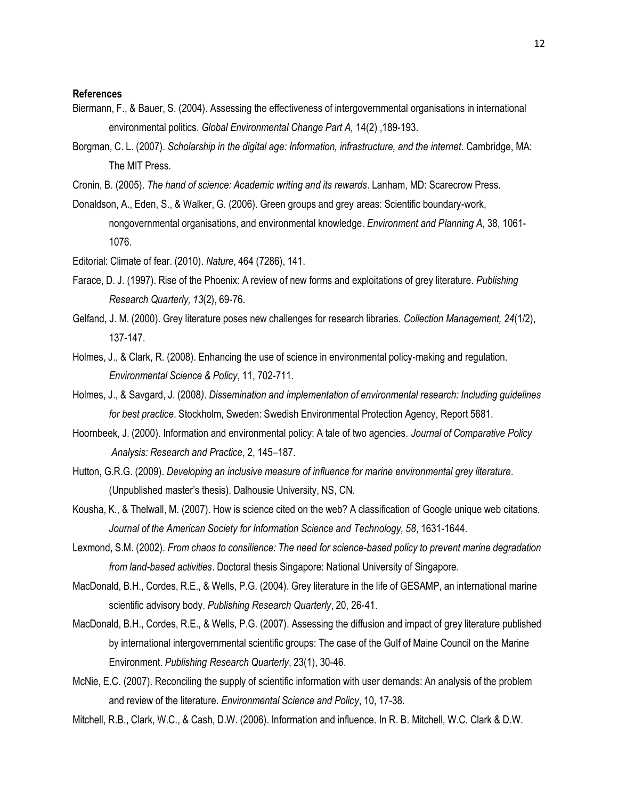## **References**

- Biermann, F., & Bauer, S. (2004). Assessing the effectiveness of intergovernmental organisations in international environmental politics. *Global Environmental Change Part A,* 14(2) ,189-193.
- Borgman, C. L. (2007). *Scholarship in the digital age: Information, infrastructure, and the internet*. Cambridge, MA: The MIT Press.
- Cronin, B. (2005). *The hand of science: Academic writing and its rewards*. Lanham, MD: Scarecrow Press.
- Donaldson, A., Eden, S., & Walker, G. (2006). Green groups and grey areas: Scientific boundary-work, nongovernmental organisations, and environmental knowledge. *Environment and Planning A*, 38, 1061- 1076.
- Editorial: Climate of fear. (2010). *Nature*, 464 (7286), 141.
- Farace, D. J. (1997). Rise of the Phoenix: A review of new forms and exploitations of grey literature. *Publishing Research Quarterly, 13*(2), 69-76.
- Gelfand, J. M. (2000). Grey literature poses new challenges for research libraries. *Collection Management, 24*(1/2), 137-147.
- Holmes, J., & Clark, R. (2008). Enhancing the use of science in environmental policy-making and regulation. *Environmental Science & Policy*, 11, 702-711.
- Holmes, J., & Savgard, J. (2008*). Dissemination and implementation of environmental research: Including guidelines for best practice*. Stockholm, Sweden: Swedish Environmental Protection Agency, Report 5681.
- Hoornbeek, J. (2000). Information and environmental policy: A tale of two agencies. *Journal of Comparative Policy Analysis: Research and Practice*, 2, 145–187.
- Hutton, G.R.G. (2009). *Developing an inclusive measure of influence for marine environmental grey literature*. (Unpublished master's thesis). Dalhousie University, NS, CN.
- Kousha, K., & Thelwall, M. (2007). How is science cited on the web? A classification of Google unique web citations. *Journal of the American Society for Information Science and Technology, 58*, 1631-1644.
- Lexmond, S.M. (2002). *From chaos to consilience: The need for science-based policy to prevent marine degradation from land-based activities*. Doctoral thesis Singapore: National University of Singapore.
- MacDonald, B.H., Cordes, R.E., & Wells, P.G. (2004). Grey literature in the life of GESAMP, an international marine scientific advisory body. *Publishing Research Quarterly*, 20, 26-41.
- MacDonald, B.H., Cordes, R.E., & Wells, P.G. (2007). Assessing the diffusion and impact of grey literature published by international intergovernmental scientific groups: The case of the Gulf of Maine Council on the Marine Environment. *Publishing Research Quarterly*, 23(1), 30-46.
- McNie, E.C. (2007). Reconciling the supply of scientific information with user demands: An analysis of the problem and review of the literature. *Environmental Science and Policy*, 10, 17-38.
- Mitchell, R.B., Clark, W.C., & Cash, D.W. (2006). Information and influence. In R. B. Mitchell, W.C. Clark & D.W.